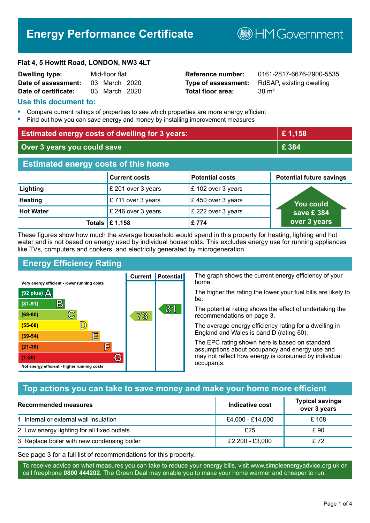# **Energy Performance Certificate**

**B**HM Government

#### **Flat 4, 5 Howitt Road, LONDON, NW3 4LT**

| <b>Dwelling type:</b> | Mid-floor flat |  |
|-----------------------|----------------|--|
| Date of assessment:   | 03 March 2020  |  |
| Date of certificate:  | 03 March 2020  |  |

# **Total floor area:** 38 m<sup>2</sup>

**Reference number:** 0161-2817-6676-2900-5535 **Type of assessment:** RdSAP, existing dwelling

#### **Use this document to:**

- **•** Compare current ratings of properties to see which properties are more energy efficient
- **•** Find out how you can save energy and money by installing improvement measures

| <b>Estimated energy costs of dwelling for 3 years:</b> |                      | £1,158                 |                                 |
|--------------------------------------------------------|----------------------|------------------------|---------------------------------|
| Over 3 years you could save                            |                      | £ 384                  |                                 |
| <b>Estimated energy costs of this home</b>             |                      |                        |                                 |
|                                                        | <b>Current costs</b> | <b>Potential costs</b> | <b>Potential future savings</b> |
| Lighting                                               | £ 201 over 3 years   | £ 102 over 3 years     |                                 |
| <b>Heating</b>                                         | £711 over 3 years    | £450 over 3 years      | You could                       |
| <b>Hot Water</b>                                       | £ 246 over 3 years   | £ 222 over 3 years     | save £ 384                      |
| <b>Totals</b>                                          | E 1,158              | £774                   | over 3 years                    |

These figures show how much the average household would spend in this property for heating, lighting and hot water and is not based on energy used by individual households. This excludes energy use for running appliances like TVs, computers and cookers, and electricity generated by microgeneration.

**Current | Potential** 

73

# **Energy Efficiency Rating**

C

 $\mathbb{D}$ 

E

庐

G

Very energy efficient - lower running costs

R

Not energy efficient - higher running costs

(92 plus)  $\Delta$ 

 $(81 - 91)$ 

 $(69 - 80)$ 

 $(55-68)$ 

 $(39 - 54)$ 

 $(21-38)$ 

 $(1-20)$ 

The graph shows the current energy efficiency of your home.

The higher the rating the lower your fuel bills are likely to be.

The potential rating shows the effect of undertaking the recommendations on page 3.

The average energy efficiency rating for a dwelling in England and Wales is band D (rating 60).

The EPC rating shown here is based on standard assumptions about occupancy and energy use and may not reflect how energy is consumed by individual occupants.

## **Top actions you can take to save money and make your home more efficient**

81

| Recommended measures                        | Indicative cost  | <b>Typical savings</b><br>over 3 years |
|---------------------------------------------|------------------|----------------------------------------|
| 1 Internal or external wall insulation      | £4,000 - £14,000 | £ 108                                  |
| 2 Low energy lighting for all fixed outlets | £25              | £ 90                                   |
| 3 Replace boiler with new condensing boiler | £2,200 - £3,000  | £72                                    |

See page 3 for a full list of recommendations for this property.

To receive advice on what measures you can take to reduce your energy bills, visit www.simpleenergyadvice.org.uk or call freephone **0800 444202**. The Green Deal may enable you to make your home warmer and cheaper to run.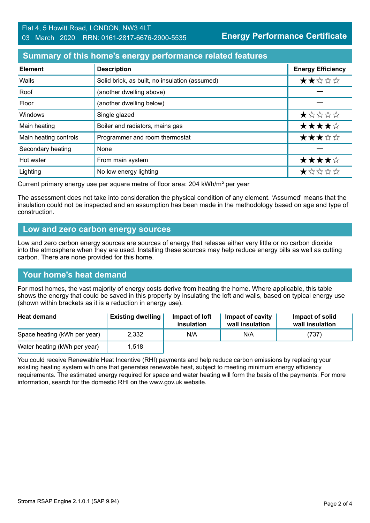# **Summary of this home's energy performance related features**

| <b>Element</b>        | <b>Description</b>                             | <b>Energy Efficiency</b> |
|-----------------------|------------------------------------------------|--------------------------|
| Walls                 | Solid brick, as built, no insulation (assumed) | ★★☆☆☆                    |
| Roof                  | (another dwelling above)                       |                          |
| Floor                 | (another dwelling below)                       |                          |
| Windows               | Single glazed                                  | ★☆☆☆☆                    |
| Main heating          | Boiler and radiators, mains gas                | ★★★★☆                    |
| Main heating controls | Programmer and room thermostat                 | ★★★☆☆                    |
| Secondary heating     | None                                           |                          |
| Hot water             | From main system                               | ★★★★☆                    |
| Lighting              | No low energy lighting                         | *****                    |

Current primary energy use per square metre of floor area: 204 kWh/m² per year

The assessment does not take into consideration the physical condition of any element. 'Assumed' means that the insulation could not be inspected and an assumption has been made in the methodology based on age and type of construction.

#### **Low and zero carbon energy sources**

Low and zero carbon energy sources are sources of energy that release either very little or no carbon dioxide into the atmosphere when they are used. Installing these sources may help reduce energy bills as well as cutting carbon. There are none provided for this home.

## **Your home's heat demand**

For most homes, the vast majority of energy costs derive from heating the home. Where applicable, this table shows the energy that could be saved in this property by insulating the loft and walls, based on typical energy use (shown within brackets as it is a reduction in energy use).

| <b>Heat demand</b>           | <b>Existing dwelling</b> | Impact of loft<br>insulation | Impact of cavity<br>wall insulation | Impact of solid<br>wall insulation |
|------------------------------|--------------------------|------------------------------|-------------------------------------|------------------------------------|
| Space heating (kWh per year) | 2,332                    | N/A                          | N/A                                 | (737)                              |
| Water heating (kWh per year) | 1,518                    |                              |                                     |                                    |

You could receive Renewable Heat Incentive (RHI) payments and help reduce carbon emissions by replacing your existing heating system with one that generates renewable heat, subject to meeting minimum energy efficiency requirements. The estimated energy required for space and water heating will form the basis of the payments. For more information, search for the domestic RHI on the www.gov.uk website.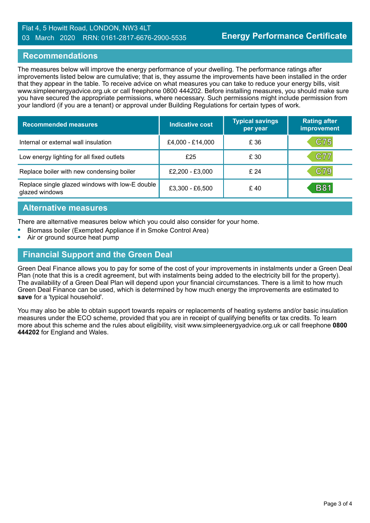#### Flat 4, 5 Howitt Road, LONDON, NW3 4LT 03 March 2020 RRN: 0161-2817-6676-2900-5535

#### **Recommendations**

The measures below will improve the energy performance of your dwelling. The performance ratings after improvements listed below are cumulative; that is, they assume the improvements have been installed in the order that they appear in the table. To receive advice on what measures you can take to reduce your energy bills, visit www.simpleenergyadvice.org.uk or call freephone 0800 444202. Before installing measures, you should make sure you have secured the appropriate permissions, where necessary. Such permissions might include permission from your landlord (if you are a tenant) or approval under Building Regulations for certain types of work.

| <b>Recommended measures</b>                                       | <b>Indicative cost</b> | <b>Typical savings</b><br>per year | <b>Rating after</b><br>improvement |
|-------------------------------------------------------------------|------------------------|------------------------------------|------------------------------------|
| Internal or external wall insulation                              | £4,000 - £14,000       | £ 36                               | C75                                |
| Low energy lighting for all fixed outlets                         | £25                    | £ 30                               | C77                                |
| Replace boiler with new condensing boiler                         | £2,200 - £3,000        | £24                                | C79                                |
| Replace single glazed windows with low-E double<br>glazed windows | £3,300 - £6,500        | £40                                | <b>B81</b>                         |

#### **Alternative measures**

There are alternative measures below which you could also consider for your home.

- **•** Biomass boiler (Exempted Appliance if in Smoke Control Area)
- **•** Air or ground source heat pump

#### **Financial Support and the Green Deal**

Green Deal Finance allows you to pay for some of the cost of your improvements in instalments under a Green Deal Plan (note that this is a credit agreement, but with instalments being added to the electricity bill for the property). The availability of a Green Deal Plan will depend upon your financial circumstances. There is a limit to how much Green Deal Finance can be used, which is determined by how much energy the improvements are estimated to **save** for a 'typical household'.

You may also be able to obtain support towards repairs or replacements of heating systems and/or basic insulation measures under the ECO scheme, provided that you are in receipt of qualifying benefits or tax credits. To learn more about this scheme and the rules about eligibility, visit www.simpleenergyadvice.org.uk or call freephone **0800 444202** for England and Wales.